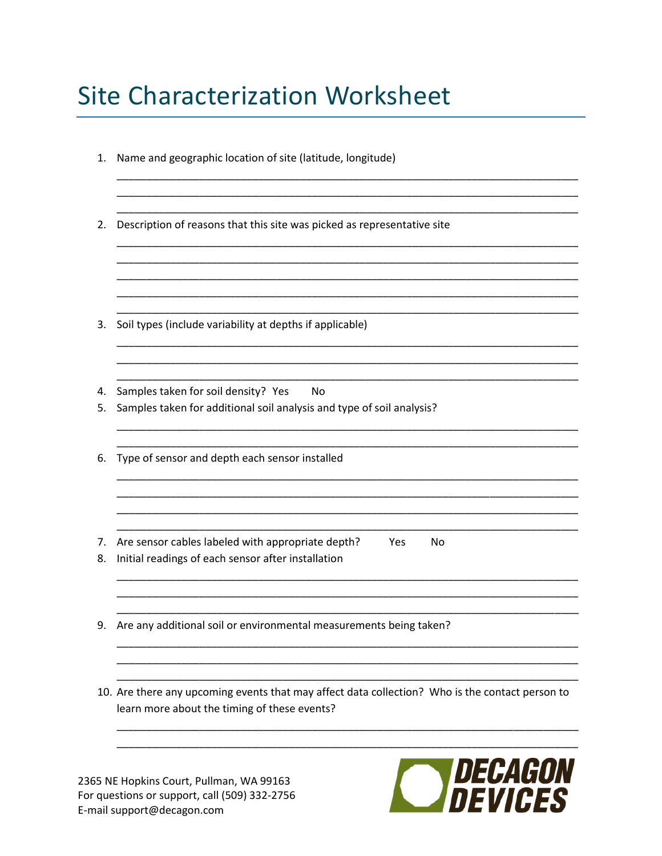# **Site Characterization Worksheet**

| 1.       | Name and geographic location of site (latitude, longitude)                                                                                      |
|----------|-------------------------------------------------------------------------------------------------------------------------------------------------|
| 2.       | Description of reasons that this site was picked as representative site                                                                         |
|          |                                                                                                                                                 |
| 3.       | Soil types (include variability at depths if applicable)                                                                                        |
| 4.<br>5. | Samples taken for soil density? Yes<br>No<br>Samples taken for additional soil analysis and type of soil analysis?                              |
| 6.       | Type of sensor and depth each sensor installed                                                                                                  |
| 7.<br>8. | Are sensor cables labeled with appropriate depth?<br>Yes<br>No<br>Initial readings of each sensor after installation                            |
| 9.       | Are any additional soil or environmental measurements being taken?                                                                              |
|          | 10. Are there any upcoming events that may affect data collection? Who is the contact person to<br>learn more about the timing of these events? |
|          |                                                                                                                                                 |

2365 NE Hopkins Court, Pullman, WA 99163 For questions or support, call (509) 332-2756 E-mail support@decagon.com

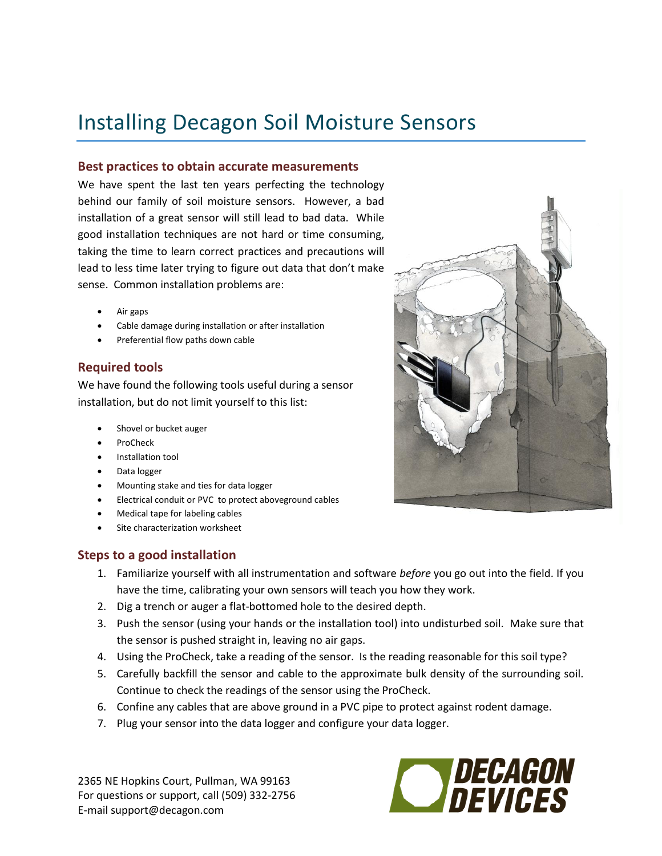## Installing Decagon Soil Moisture Sensors

#### **Best practices to obtain accurate measurements**

We have spent the last ten years perfecting the technology behind our family of soil moisture sensors. However, a bad installation of a great sensor will still lead to bad data. While good installation techniques are not hard or time consuming, taking the time to learn correct practices and precautions will lead to less time later trying to figure out data that don't make sense. Common installation problems are:

- Air gaps
- Cable damage during installation or after installation
- Preferential flow paths down cable

#### **Required tools**

We have found the following tools useful during a sensor installation, but do not limit yourself to this list:

- Shovel or bucket auger
- ProCheck
- Installation tool
- Data logger
- Mounting stake and ties for data logger
- Electrical conduit or PVC to protect aboveground cables
- Medical tape for labeling cables
- Site characterization worksheet

#### **Steps to a good installation**

- 1. Familiarize yourself with all instrumentation and software *before* you go out into the field. If you have the time, calibrating your own sensors will teach you how they work.
- 2. Dig a trench or auger a flat-bottomed hole to the desired depth.
- 3. Push the sensor (using your hands or the installation tool) into undisturbed soil. Make sure that the sensor is pushed straight in, leaving no air gaps.
- 4. Using the ProCheck, take a reading of the sensor. Is the reading reasonable for this soil type?
- 5. Carefully backfill the sensor and cable to the approximate bulk density of the surrounding soil. Continue to check the readings of the sensor using the ProCheck.
- 6. Confine any cables that are above ground in a PVC pipe to protect against rodent damage.
- 7. Plug your sensor into the data logger and configure your data logger.

2365 NE Hopkins Court, Pullman, WA 99163 For questions or support, call (509) 332-2756 E-mail support@decagon.com